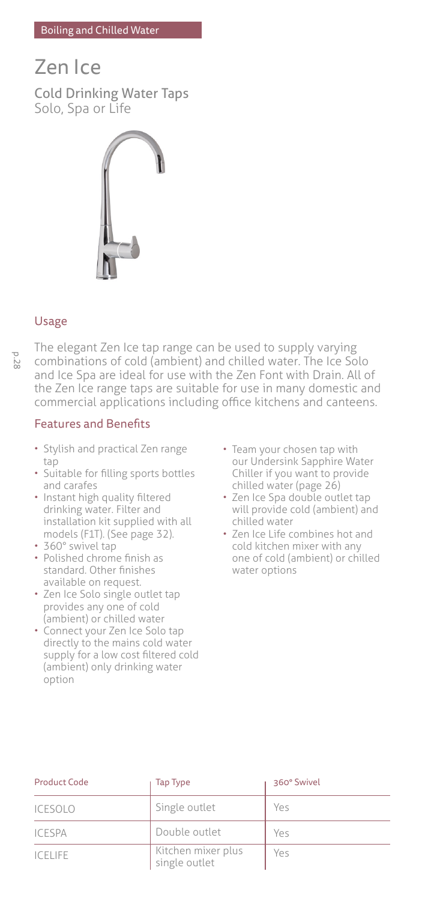## Boiling and Chilled Water

# Zen Ice Cold Drinking Water Taps Solo, Spa or Life



## Usage

The elegant Zen Ice tap range can be used to supply varying combinations of cold (ambient) and chilled water. The Ice Solo and Ice Spa are ideal for use with the Zen Font with Drain. All of the Zen Ice range taps are suitable for use in many domestic and commercial applications including office kitchens and canteens.

## Features and Benefits

- Stylish and practical Zen range tap
- Suitable for filling sports bottles and carafes
- Instant high quality filtered drinking water. Filter and installation kit supplied with all models (F1T). (See page 32).
- 360° swivel tap
- Polished chrome finish as standard. Other finishes available on request.
- Zen Ice Solo single outlet tap provides any one of cold (ambient) or chilled water
- Connect your Zen Ice Solo tap directly to the mains cold water supply for a low cost filtered cold (ambient) only drinking water option
- Team your chosen tap with our Undersink Sapphire Water Chiller if you want to provide chilled water (page 26)
- Zen Ice Spa double outlet tap will provide cold (ambient) and chilled water
- Zen Ice Life combines hot and cold kitchen mixer with any one of cold (ambient) or chilled water options

| <b>Product Code</b> | Tap Type                            | 360° Swivel |  |
|---------------------|-------------------------------------|-------------|--|
| <b>ICESOLO</b>      | Single outlet                       | Yes         |  |
| <b>ICESPA</b>       | Double outlet                       | Yes         |  |
| <b>ICELIFE</b>      | Kitchen mixer plus<br>single outlet | Yes         |  |